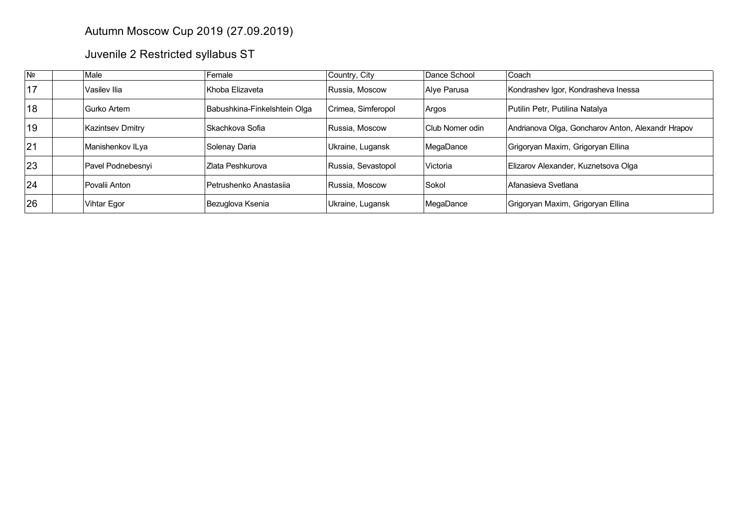## Autumn Moscow Cup 2019 (27.09.2019)

Juvenile 2 Restricted syllabus ST

| N <sub>2</sub> | Male                    | Female                       | Country, City      | Dance School    | Coach                                             |
|----------------|-------------------------|------------------------------|--------------------|-----------------|---------------------------------------------------|
| 17             | Vasilev Ilia            | Khoba Elizaveta              | Russia. Moscow     | Alve Parusa     | Kondrashev Igor, Kondrasheva Inessa               |
| 18             | Gurko Artem             | Babushkina-Finkelshtein Olga | Crimea, Simferopol | Argos           | Putilin Petr, Putilina Natalya                    |
| 19             | <b>Kazintsev Dmitry</b> | Skachkova Sofia              | Russia, Moscow     | Club Nomer odin | Andrianova Olga, Goncharov Anton, Alexandr Hrapov |
| 21             | Manishenkov ILya        | Solenay Daria                | Ukraine, Lugansk   | MegaDance       | Grigoryan Maxim, Grigoryan Ellina                 |
| 23             | Pavel Podnebesnyi       | Zlata Peshkurova             | Russia, Sevastopol | Victoria        | Elizarov Alexander, Kuznetsova Olga               |
| 24             | Povalii Anton           | Petrushenko Anastasija       | Russia. Moscow     | Sokol           | Afanasieva Svetlana                               |
| 26             | Vihtar Egor             | Bezuglova Ksenia             | Ukraine, Lugansk   | MegaDance       | Grigoryan Maxim, Grigoryan Ellina                 |